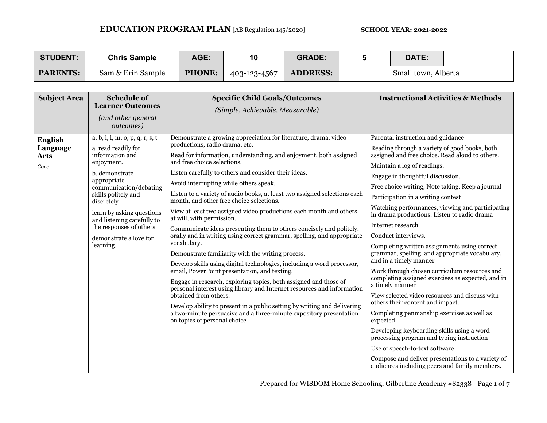| <b>STUDENT:</b> | <b>Chris Sample</b> | <b>AGE:</b>   | 10           | <b>GRADE:</b>   | DATE:               |  |
|-----------------|---------------------|---------------|--------------|-----------------|---------------------|--|
| <b>PARENTS:</b> | Sam & Erin Sample   | <b>PHONE:</b> | 403-123-4567 | <b>ADDRESS:</b> | Small town, Alberta |  |

| <b>Subject Area</b>                               | <b>Schedule of</b><br><b>Learner Outcomes</b><br>(and other general<br>outcomes)                                                                                                                                                                                                                                     | <b>Specific Child Goals/Outcomes</b><br>(Simple, Achievable, Measurable)                                                                                                                                                                                                                                                                                                                                                                                                                                                                                                                                                                                                                                                                                                                                                                                                                                                                                                                                                                                                                                                                                                                                                                     | <b>Instructional Activities &amp; Methods</b>                                                                                                                                                                                                                                                                                                                                                                                                                                                                                                                                                                                                                                                                                                                                                                                                                                                                                                                                                                                                                                            |
|---------------------------------------------------|----------------------------------------------------------------------------------------------------------------------------------------------------------------------------------------------------------------------------------------------------------------------------------------------------------------------|----------------------------------------------------------------------------------------------------------------------------------------------------------------------------------------------------------------------------------------------------------------------------------------------------------------------------------------------------------------------------------------------------------------------------------------------------------------------------------------------------------------------------------------------------------------------------------------------------------------------------------------------------------------------------------------------------------------------------------------------------------------------------------------------------------------------------------------------------------------------------------------------------------------------------------------------------------------------------------------------------------------------------------------------------------------------------------------------------------------------------------------------------------------------------------------------------------------------------------------------|------------------------------------------------------------------------------------------------------------------------------------------------------------------------------------------------------------------------------------------------------------------------------------------------------------------------------------------------------------------------------------------------------------------------------------------------------------------------------------------------------------------------------------------------------------------------------------------------------------------------------------------------------------------------------------------------------------------------------------------------------------------------------------------------------------------------------------------------------------------------------------------------------------------------------------------------------------------------------------------------------------------------------------------------------------------------------------------|
| <b>English</b><br>Language<br><b>Arts</b><br>Core | a, b, i, l, m, o, p, q, r, s, t<br>a. read readily for<br>information and<br>enjoyment.<br>b. demonstrate<br>appropriate<br>communication/debating<br>skills politely and<br>discretely<br>learn by asking questions<br>and listening carefully to<br>the responses of others<br>demonstrate a love for<br>learning. | Demonstrate a growing appreciation for literature, drama, video<br>productions, radio drama, etc.<br>Read for information, understanding, and enjoyment, both assigned<br>and free choice selections.<br>Listen carefully to others and consider their ideas.<br>Avoid interrupting while others speak.<br>Listen to a variety of audio books, at least two assigned selections each<br>month, and other free choice selections.<br>View at least two assigned video productions each month and others<br>at will, with permission.<br>Communicate ideas presenting them to others concisely and politely,<br>orally and in writing using correct grammar, spelling, and appropriate<br>vocabulary.<br>Demonstrate familiarity with the writing process.<br>Develop skills using digital technologies, including a word processor,<br>email, PowerPoint presentation, and texting.<br>Engage in research, exploring topics, both assigned and those of<br>personal interest using library and Internet resources and information<br>obtained from others.<br>Develop ability to present in a public setting by writing and delivering<br>a two-minute persuasive and a three-minute expository presentation<br>on topics of personal choice. | Parental instruction and guidance<br>Reading through a variety of good books, both<br>assigned and free choice. Read aloud to others.<br>Maintain a log of readings.<br>Engage in thoughtful discussion.<br>Free choice writing, Note taking, Keep a journal<br>Participation in a writing contest<br>Watching performances, viewing and participating<br>in drama productions. Listen to radio drama<br>Internet research<br>Conduct interviews.<br>Completing written assignments using correct<br>grammar, spelling, and appropriate vocabulary,<br>and in a timely manner<br>Work through chosen curriculum resources and<br>completing assigned exercises as expected, and in<br>a timely manner<br>View selected video resources and discuss with<br>others their content and impact.<br>Completing penmanship exercises as well as<br>expected<br>Developing keyboarding skills using a word<br>processing program and typing instruction<br>Use of speech-to-text software<br>Compose and deliver presentations to a variety of<br>audiences including peers and family members. |

Prepared for WISDOM Home Schooling, Gilbertine Academy #S2338 - Page 1 of 7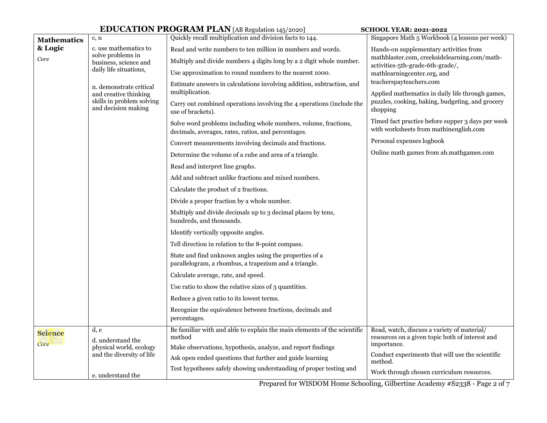|                                                  |                                              | <b>EDUCATION PROGRAM PLAN</b> [AB Regulation 145/2020]                                                                 | <b>SCHOOL YEAR: 2021-2022</b>                                                                  |  |
|--------------------------------------------------|----------------------------------------------|------------------------------------------------------------------------------------------------------------------------|------------------------------------------------------------------------------------------------|--|
| <b>Mathematics</b>                               | c, n                                         | Quickly recall multiplication and division facts to 144.                                                               | Singapore Math 5 Workbook (4 lessons per week)                                                 |  |
| & Logic                                          | c. use mathematics to<br>solve problems in   | Read and write numbers to ten million in numbers and words.                                                            | Hands-on supplementary activities from                                                         |  |
| Core                                             | business, science and                        | Multiply and divide numbers 4 digits long by a 2 digit whole number.                                                   | mathblaster.com, creeksidelearning.com/math-<br>activities-5th-grade-6th-grade/,               |  |
|                                                  | daily life situations,                       | Use approximation to round numbers to the nearest 1000.                                                                | mathlearningcenter.org, and                                                                    |  |
|                                                  | n. demonstrate critical                      | Estimate answers in calculations involving addition, subtraction, and                                                  | teacherspayteachers.com                                                                        |  |
|                                                  | and creative thinking                        | multiplication.                                                                                                        | Applied mathematics in daily life through games,                                               |  |
| skills in problem solving<br>and decision making |                                              | Carry out combined operations involving the 4 operations (include the<br>use of brackets).                             | puzzles, cooking, baking, budgeting, and grocery<br>shopping                                   |  |
|                                                  |                                              | Solve word problems including whole numbers, volume, fractions,<br>decimals, averages, rates, ratios, and percentages. | Timed fact practice before supper 3 days per week<br>with worksheets from mathinenglish.com    |  |
|                                                  |                                              | Convert measurements involving decimals and fractions.                                                                 | Personal expenses logbook                                                                      |  |
|                                                  |                                              | Determine the volume of a cube and area of a triangle.                                                                 | Online math games from ab.mathgames.com                                                        |  |
|                                                  |                                              | Read and interpret line graphs.                                                                                        |                                                                                                |  |
|                                                  |                                              | Add and subtract unlike fractions and mixed numbers.                                                                   |                                                                                                |  |
|                                                  |                                              | Calculate the product of 2 fractions.                                                                                  |                                                                                                |  |
|                                                  |                                              | Divide a proper fraction by a whole number.                                                                            |                                                                                                |  |
|                                                  |                                              | Multiply and divide decimals up to 3 decimal places by tens,<br>hundreds, and thousands.                               |                                                                                                |  |
|                                                  |                                              | Identify vertically opposite angles.                                                                                   |                                                                                                |  |
|                                                  |                                              | Tell direction in relation to the 8-point compass.                                                                     |                                                                                                |  |
|                                                  |                                              | State and find unknown angles using the properties of a<br>parallelogram, a rhombus, a trapezium and a triangle.       |                                                                                                |  |
|                                                  |                                              | Calculate average, rate, and speed.                                                                                    |                                                                                                |  |
|                                                  |                                              | Use ratio to show the relative sizes of 3 quantities.                                                                  |                                                                                                |  |
|                                                  |                                              | Reduce a given ratio to its lowest terms.                                                                              |                                                                                                |  |
|                                                  |                                              | Recognize the equivalence between fractions, decimals and<br>percentages.                                              |                                                                                                |  |
| <b>Science</b>                                   | d, e                                         | Be familiar with and able to explain the main elements of the scientific<br>method                                     | Read, watch, discuss a variety of material/<br>resources on a given topic both of interest and |  |
| Core                                             | d. understand the<br>physical world, ecology | Make observations, hypothesis, analyze, and report findings                                                            | importance.                                                                                    |  |
|                                                  | and the diversity of life                    | Ask open ended questions that further and guide learning                                                               | Conduct experiments that will use the scientific<br>method.                                    |  |
|                                                  |                                              | Test hypotheses safely showing understanding of proper testing and                                                     | Work through chosen curriculum resources.                                                      |  |
|                                                  | e. understand the                            |                                                                                                                        |                                                                                                |  |

Prepared for WISDOM Home Schooling, Gilbertine Academy #S2338 - Page 2 of 7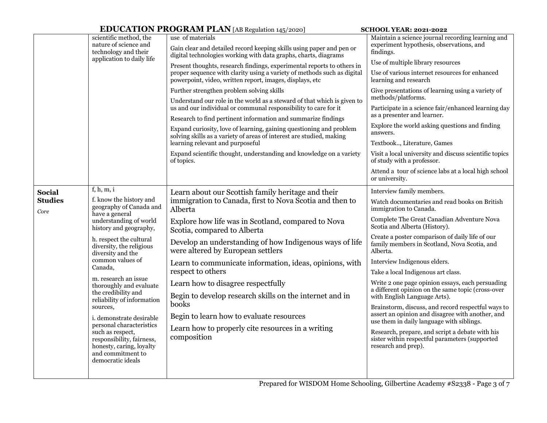## **EDUCATION PROGRAM PLAN** [AB Regulation 145/2020] **SCHOOL YEAR: 2021-2022**

|                           |                                                                                                                                                                                                                                                                                                 | <b>ED O CATTON T INOOIMMT TEAN</b> [AD REGUIALON 145/2020]                                                                                                  | <b>SUITOL LEAR. 2021-2022</b>                                                                                            |  |
|---------------------------|-------------------------------------------------------------------------------------------------------------------------------------------------------------------------------------------------------------------------------------------------------------------------------------------------|-------------------------------------------------------------------------------------------------------------------------------------------------------------|--------------------------------------------------------------------------------------------------------------------------|--|
|                           | scientific method, the<br>nature of science and<br>technology and their                                                                                                                                                                                                                         | use of materials<br>Gain clear and detailed record keeping skills using paper and pen or<br>digital technologies working with data graphs, charts, diagrams | Maintain a science journal recording learning and<br>experiment hypothesis, observations, and<br>findings.               |  |
| application to daily life |                                                                                                                                                                                                                                                                                                 | Present thoughts, research findings, experimental reports to others in                                                                                      | Use of multiple library resources                                                                                        |  |
|                           |                                                                                                                                                                                                                                                                                                 | proper sequence with clarity using a variety of methods such as digital<br>powerpoint, video, written report, images, displays, etc                         | Use of various internet resources for enhanced<br>learning and research                                                  |  |
|                           |                                                                                                                                                                                                                                                                                                 | Further strengthen problem solving skills<br>Understand our role in the world as a steward of that which is given to                                        | Give presentations of learning using a variety of<br>methods/platforms.                                                  |  |
|                           |                                                                                                                                                                                                                                                                                                 | us and our individual or communal responsibility to care for it                                                                                             | Participate in a science fair/enhanced learning day<br>as a presenter and learner.                                       |  |
|                           |                                                                                                                                                                                                                                                                                                 | Research to find pertinent information and summarize findings                                                                                               | Explore the world asking questions and finding                                                                           |  |
|                           |                                                                                                                                                                                                                                                                                                 | Expand curiosity, love of learning, gaining questioning and problem<br>solving skills as a variety of areas of interest are studied, making                 | answers.                                                                                                                 |  |
|                           |                                                                                                                                                                                                                                                                                                 | learning relevant and purposeful                                                                                                                            | Textbook, Literature, Games                                                                                              |  |
|                           |                                                                                                                                                                                                                                                                                                 | Expand scientific thought, understanding and knowledge on a variety<br>of topics.                                                                           | Visit a local university and discuss scientific topics<br>of study with a professor.                                     |  |
|                           |                                                                                                                                                                                                                                                                                                 |                                                                                                                                                             | Attend a tour of science labs at a local high school<br>or university.                                                   |  |
| <b>Social</b>             | f, h, m, i                                                                                                                                                                                                                                                                                      | Learn about our Scottish family heritage and their                                                                                                          | Interview family members.                                                                                                |  |
| <b>Studies</b><br>Core    | f. know the history and<br>geography of Canada and<br>have a general<br>understanding of world<br>history and geography,<br>h. respect the cultural<br>diversity, the religious<br>diversity and the                                                                                            | immigration to Canada, first to Nova Scotia and then to<br>Alberta                                                                                          | Watch documentaries and read books on British<br>immigration to Canada.                                                  |  |
|                           |                                                                                                                                                                                                                                                                                                 | Explore how life was in Scotland, compared to Nova<br>Scotia, compared to Alberta                                                                           | Complete The Great Canadian Adventure Nova<br>Scotia and Alberta (History).                                              |  |
|                           |                                                                                                                                                                                                                                                                                                 | Develop an understanding of how Indigenous ways of life<br>were altered by European settlers                                                                | Create a poster comparison of daily life of our<br>family members in Scotland, Nova Scotia, and<br>Alberta.              |  |
|                           | common values of                                                                                                                                                                                                                                                                                | Learn to communicate information, ideas, opinions, with                                                                                                     | Interview Indigenous elders.                                                                                             |  |
|                           | Canada,                                                                                                                                                                                                                                                                                         | respect to others                                                                                                                                           | Take a local Indigenous art class.                                                                                       |  |
|                           | m. research an issue<br>thoroughly and evaluate<br>the credibility and<br>reliability of information<br>sources,<br>i. demonstrate desirable<br>personal characteristics<br>such as respect,<br>responsibility, fairness,<br>honesty, caring, loyalty<br>and commitment to<br>democratic ideals | Learn how to disagree respectfully                                                                                                                          | Write 2 one page opinion essays, each persuading                                                                         |  |
|                           |                                                                                                                                                                                                                                                                                                 | Begin to develop research skills on the internet and in                                                                                                     | a different opinion on the same topic (cross-over<br>with English Language Arts).                                        |  |
|                           |                                                                                                                                                                                                                                                                                                 | books                                                                                                                                                       | Brainstorm, discuss, and record respectful ways to                                                                       |  |
|                           |                                                                                                                                                                                                                                                                                                 | Begin to learn how to evaluate resources                                                                                                                    | assert an opinion and disagree with another, and<br>use them in daily language with siblings.                            |  |
|                           |                                                                                                                                                                                                                                                                                                 | Learn how to properly cite resources in a writing<br>composition                                                                                            | Research, prepare, and script a debate with his<br>sister within respectful parameters (supported<br>research and prep). |  |
|                           |                                                                                                                                                                                                                                                                                                 |                                                                                                                                                             |                                                                                                                          |  |
|                           |                                                                                                                                                                                                                                                                                                 |                                                                                                                                                             |                                                                                                                          |  |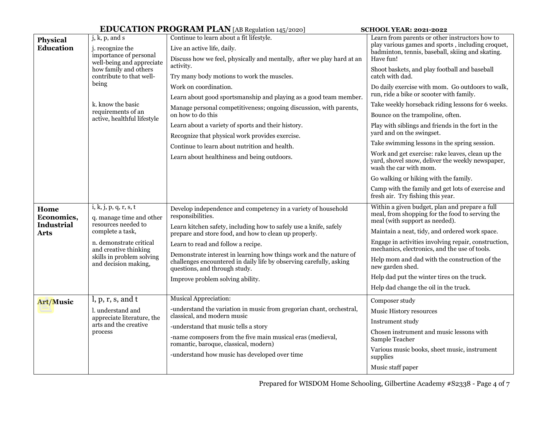|                                                   |                                                                                                       | <b>EDUCATION PROGRAM PLAN</b> [AB Regulation 145/2020]                                                                                            | <b>SCHOOL YEAR: 2021-2022</b>                                                                                                                                        |  |
|---------------------------------------------------|-------------------------------------------------------------------------------------------------------|---------------------------------------------------------------------------------------------------------------------------------------------------|----------------------------------------------------------------------------------------------------------------------------------------------------------------------|--|
| <b>Physical</b><br><b>Education</b>               | j, k, p, and s<br>j. recognize the<br>importance of personal<br>well-being and appreciate             | Continue to learn about a fit lifestyle.<br>Live an active life, daily.<br>Discuss how we feel, physically and mentally, after we play hard at an | Learn from parents or other instructors how to<br>play various games and sports, including croquet,<br>badminton, tennis, baseball, skiing and skating.<br>Have fun! |  |
| how family and others<br>contribute to that well- |                                                                                                       | activity.<br>Try many body motions to work the muscles.                                                                                           | Shoot baskets, and play football and baseball<br>catch with dad.                                                                                                     |  |
|                                                   | being                                                                                                 | Work on coordination.<br>Learn about good sportsmanship and playing as a good team member.                                                        | Do daily exercise with mom. Go outdoors to walk,<br>run, ride a bike or scooter with family.                                                                         |  |
|                                                   | k. know the basic                                                                                     | Manage personal competitiveness; ongoing discussion, with parents,                                                                                | Take weekly horseback riding lessons for 6 weeks.                                                                                                                    |  |
| requirements of an<br>active, healthful lifestyle |                                                                                                       | on how to do this                                                                                                                                 | Bounce on the trampoline, often.                                                                                                                                     |  |
|                                                   |                                                                                                       | Learn about a variety of sports and their history.                                                                                                | Play with siblings and friends in the fort in the<br>yard and on the swingset.                                                                                       |  |
|                                                   |                                                                                                       | Recognize that physical work provides exercise.                                                                                                   | Take swimming lessons in the spring session.                                                                                                                         |  |
|                                                   |                                                                                                       | Continue to learn about nutrition and health.                                                                                                     | Work and get exercise: rake leaves, clean up the                                                                                                                     |  |
|                                                   |                                                                                                       | Learn about healthiness and being outdoors.                                                                                                       | yard, shovel snow, deliver the weekly newspaper,<br>wash the car with mom.                                                                                           |  |
|                                                   |                                                                                                       |                                                                                                                                                   | Go walking or hiking with the family.                                                                                                                                |  |
|                                                   |                                                                                                       |                                                                                                                                                   | Camp with the family and get lots of exercise and<br>fresh air. Try fishing this year.                                                                               |  |
| Home<br>Economics,<br><b>Industrial</b>           | i, k, j, p, q, r, s, t<br>q. manage time and other<br>resources needed to<br>complete a task,         | Develop independence and competency in a variety of household<br>responsibilities.                                                                | Within a given budget, plan and prepare a full<br>meal, from shopping for the food to serving the<br>meal (with support as needed).                                  |  |
| Arts                                              |                                                                                                       | Learn kitchen safety, including how to safely use a knife, safely<br>prepare and store food, and how to clean up properly.                        | Maintain a neat, tidy, and ordered work space.                                                                                                                       |  |
|                                                   | n. demonstrate critical<br>and creative thinking<br>skills in problem solving<br>and decision making, | Learn to read and follow a recipe.<br>Demonstrate interest in learning how things work and the nature of                                          | Engage in activities involving repair, construction,<br>mechanics, electronics, and the use of tools.                                                                |  |
|                                                   |                                                                                                       | challenges encountered in daily life by observing carefully, asking<br>questions, and through study.                                              | Help mom and dad with the construction of the<br>new garden shed.                                                                                                    |  |
|                                                   |                                                                                                       | Improve problem solving ability.                                                                                                                  | Help dad put the winter tires on the truck.                                                                                                                          |  |
|                                                   |                                                                                                       |                                                                                                                                                   | Help dad change the oil in the truck.                                                                                                                                |  |
| Art/Music                                         | l, p, r, s, and t                                                                                     | Musical Appreciation:                                                                                                                             | Composer study                                                                                                                                                       |  |
|                                                   | l. understand and                                                                                     | -understand the variation in music from gregorian chant, orchestral,<br>classical, and modern music                                               | Music History resources                                                                                                                                              |  |
|                                                   | appreciate literature, the<br>arts and the creative                                                   | -understand that music tells a story                                                                                                              | Instrument study                                                                                                                                                     |  |
|                                                   | process                                                                                               | -name composers from the five main musical eras (medieval,<br>romantic, baroque, classical, modern)                                               | Chosen instrument and music lessons with<br>Sample Teacher                                                                                                           |  |
|                                                   |                                                                                                       | -understand how music has developed over time                                                                                                     | Various music books, sheet music, instrument<br>supplies                                                                                                             |  |
|                                                   |                                                                                                       |                                                                                                                                                   | Music staff paper                                                                                                                                                    |  |

Prepared for WISDOM Home Schooling, Gilbertine Academy #S2338 - Page 4 of 7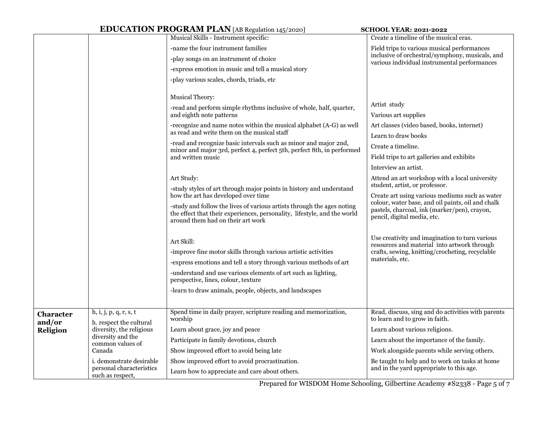|                                                                                   |                                                                                                                             | <b>EDUCATION PROGRAM PLAN</b> [AB Regulation 145/2020]                                                                                                                                  | <b>SCHOOL YEAR: 2021-2022</b>                                                                       |  |
|-----------------------------------------------------------------------------------|-----------------------------------------------------------------------------------------------------------------------------|-----------------------------------------------------------------------------------------------------------------------------------------------------------------------------------------|-----------------------------------------------------------------------------------------------------|--|
|                                                                                   |                                                                                                                             | Musical Skills - Instrument specific:                                                                                                                                                   | Create a timeline of the musical eras.                                                              |  |
|                                                                                   |                                                                                                                             | -name the four instrument families                                                                                                                                                      | Field trips to various musical performances                                                         |  |
|                                                                                   |                                                                                                                             | -play songs on an instrument of choice                                                                                                                                                  | inclusive of orchestral/symphony, musicals, and<br>various individual instrumental performances     |  |
| -express emotion in music and tell a musical story                                |                                                                                                                             |                                                                                                                                                                                         |                                                                                                     |  |
|                                                                                   |                                                                                                                             | -play various scales, chords, triads, etc                                                                                                                                               |                                                                                                     |  |
|                                                                                   |                                                                                                                             |                                                                                                                                                                                         |                                                                                                     |  |
|                                                                                   | <b>Musical Theory:</b>                                                                                                      |                                                                                                                                                                                         | Artist study                                                                                        |  |
|                                                                                   |                                                                                                                             | -read and perform simple rhythms inclusive of whole, half, quarter,<br>and eighth note patterns                                                                                         | Various art supplies                                                                                |  |
|                                                                                   |                                                                                                                             | -recognize and name notes within the musical alphabet (A-G) as well                                                                                                                     | Art classes (video based, books, internet)                                                          |  |
|                                                                                   |                                                                                                                             | as read and write them on the musical staff                                                                                                                                             | Learn to draw books                                                                                 |  |
|                                                                                   |                                                                                                                             | -read and recognize basic intervals such as minor and major 2nd,<br>minor and major 3rd, perfect 4, perfect 5th, perfect 8th, in performed                                              | Create a timeline.                                                                                  |  |
|                                                                                   |                                                                                                                             | and written music                                                                                                                                                                       | Field trips to art galleries and exhibits                                                           |  |
|                                                                                   |                                                                                                                             |                                                                                                                                                                                         | Interview an artist.                                                                                |  |
| Art Study:<br>-study styles of art through major points in history and understand |                                                                                                                             | Attend an art workshop with a local university                                                                                                                                          |                                                                                                     |  |
|                                                                                   |                                                                                                                             | student, artist, or professor.                                                                                                                                                          |                                                                                                     |  |
|                                                                                   |                                                                                                                             | how the art has developed over time                                                                                                                                                     | Create art using various mediums such as water<br>colour, water base, and oil paints, oil and chalk |  |
|                                                                                   |                                                                                                                             | -study and follow the lives of various artists through the ages noting<br>the effect that their experiences, personality, lifestyle, and the world<br>around them had on their art work | pastels, charcoal, ink (marker/pen), crayon,<br>pencil, digital media, etc.                         |  |
|                                                                                   |                                                                                                                             |                                                                                                                                                                                         | Use creativity and imagination to turn various                                                      |  |
|                                                                                   |                                                                                                                             | Art Skill:                                                                                                                                                                              | resources and material into artwork through                                                         |  |
|                                                                                   |                                                                                                                             | -improve fine motor skills through various artistic activities                                                                                                                          | crafts, sewing, knitting/crocheting, recyclable                                                     |  |
|                                                                                   |                                                                                                                             | -express emotions and tell a story through various methods of art                                                                                                                       | materials, etc.                                                                                     |  |
|                                                                                   |                                                                                                                             | -understand and use various elements of art such as lighting,<br>perspective, lines, colour, texture                                                                                    |                                                                                                     |  |
|                                                                                   |                                                                                                                             | -learn to draw animals, people, objects, and landscapes                                                                                                                                 |                                                                                                     |  |
|                                                                                   |                                                                                                                             |                                                                                                                                                                                         |                                                                                                     |  |
| <b>Character</b><br>and/or                                                        | h, i, j, p, q, r, s, t<br>h. respect the cultural                                                                           | Spend time in daily prayer, scripture reading and memorization,<br>worship                                                                                                              | Read, discuss, sing and do activities with parents<br>to learn and to grow in faith.                |  |
| Religion                                                                          | diversity, the religious                                                                                                    | Learn about grace, joy and peace                                                                                                                                                        | Learn about various religions.                                                                      |  |
|                                                                                   | diversity and the<br>common values of<br>Canada<br>i. demonstrate desirable<br>personal characteristics<br>such as respect, | Participate in family devotions, church                                                                                                                                                 | Learn about the importance of the family.                                                           |  |
|                                                                                   |                                                                                                                             | Show improved effort to avoid being late                                                                                                                                                | Work alongside parents while serving others.                                                        |  |
|                                                                                   |                                                                                                                             | Show improved effort to avoid procrastination.                                                                                                                                          | Be taught to help and to work on tasks at home                                                      |  |
|                                                                                   |                                                                                                                             | Learn how to appreciate and care about others.                                                                                                                                          | and in the yard appropriate to this age.                                                            |  |

Prepared for WISDOM Home Schooling, Gilbertine Academy #S2338 - Page 5 of 7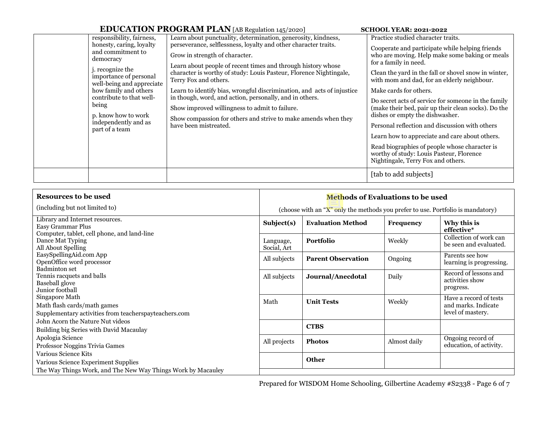## **EDUCATION PROGRAM PLAN** [AB Regulation 145/2020] **SCHOOL YEAR: 2021-2022**

|                                                                                                                                                                                                                                                                                                   | <b>LID O CARLION THOONUM THEN</b> RD REGULATOR 145/2020                                                                                                                                                                                                                                                                                                                                                                                                                                                                                                                                                             | 5011001 TEAR. 2021-2022                                                                                                                                                                                                                                                                                                                                                                                                                                                                                                                                                                                                                                                                   |
|---------------------------------------------------------------------------------------------------------------------------------------------------------------------------------------------------------------------------------------------------------------------------------------------------|---------------------------------------------------------------------------------------------------------------------------------------------------------------------------------------------------------------------------------------------------------------------------------------------------------------------------------------------------------------------------------------------------------------------------------------------------------------------------------------------------------------------------------------------------------------------------------------------------------------------|-------------------------------------------------------------------------------------------------------------------------------------------------------------------------------------------------------------------------------------------------------------------------------------------------------------------------------------------------------------------------------------------------------------------------------------------------------------------------------------------------------------------------------------------------------------------------------------------------------------------------------------------------------------------------------------------|
| responsibility, fairness,<br>honesty, caring, loyalty<br>and commitment to<br>democracy<br>j. recognize the<br>importance of personal<br>well-being and appreciate<br>how family and others<br>contribute to that well-<br>being<br>p. know how to work<br>independently and as<br>part of a team | Learn about punctuality, determination, generosity, kindness,<br>perseverance, selflessness, loyalty and other character traits.<br>Grow in strength of character.<br>Learn about people of recent times and through history whose<br>character is worthy of study: Louis Pasteur, Florence Nightingale,<br>Terry Fox and others.<br>Learn to identify bias, wrongful discrimination, and acts of injustice<br>in though, word, and action, personally, and in others.<br>Show improved willingness to admit to failure.<br>Show compassion for others and strive to make amends when they<br>have been mistreated. | Practice studied character traits.<br>Cooperate and participate while helping friends<br>who are moving. Help make some baking or meals<br>for a family in need.<br>Clean the yard in the fall or shovel snow in winter,<br>with mom and dad, for an elderly neighbour.<br>Make cards for others.<br>Do secret acts of service for someone in the family<br>(make their bed, pair up their clean socks). Do the<br>dishes or empty the dishwasher.<br>Personal reflection and discussion with others<br>Learn how to appreciate and care about others.<br>Read biographies of people whose character is<br>worthy of study: Louis Pasteur, Florence<br>Nightingale, Terry Fox and others. |
|                                                                                                                                                                                                                                                                                                   |                                                                                                                                                                                                                                                                                                                                                                                                                                                                                                                                                                                                                     | [tab to add subjects]                                                                                                                                                                                                                                                                                                                                                                                                                                                                                                                                                                                                                                                                     |

| <b>Resources to be used</b>                                                                            |                                                                                 | <b>Methods of Evaluations to be used</b> |                  |                                                                    |  |
|--------------------------------------------------------------------------------------------------------|---------------------------------------------------------------------------------|------------------------------------------|------------------|--------------------------------------------------------------------|--|
| (including but not limited to)                                                                         | (choose with an "X" only the methods you prefer to use. Portfolio is mandatory) |                                          |                  |                                                                    |  |
| Library and Internet resources.<br>Easy Grammar Plus<br>Computer, tablet, cell phone, and land-line    | Subject(s)                                                                      | <b>Evaluation Method</b>                 | <b>Frequency</b> | Why this is<br>effective*                                          |  |
| Dance Mat Typing<br>All About Spelling                                                                 | Language,<br>Social, Art                                                        | Portfolio                                | Weekly           | Collection of work can<br>be seen and evaluated.                   |  |
| EasySpellingAid.com App<br>OpenOffice word processor<br>Badminton set                                  | All subjects                                                                    | <b>Parent Observation</b>                | Ongoing          | Parents see how<br>learning is progressing.                        |  |
| Tennis racquets and balls<br><b>Baseball</b> glove<br>Junior football                                  | All subjects                                                                    | Journal/Anecdotal                        | Daily            | Record of lessons and<br>activities show<br>progress.              |  |
| Singapore Math<br>Math flash cards/math games<br>Supplementary activities from teacherspayteachers.com | Math                                                                            | <b>Unit Tests</b>                        | Weekly           | Have a record of tests<br>and marks. Indicate<br>level of mastery. |  |
| John Acorn the Nature Nut videos<br>Building big Series with David Macaulay                            |                                                                                 | <b>CTBS</b>                              |                  |                                                                    |  |
| Apologia Science<br>Professor Noggins Trivia Games                                                     | All projects                                                                    | <b>Photos</b>                            | Almost daily     | Ongoing record of<br>education, of activity.                       |  |
| Various Science Kits<br>Various Science Experiment Supplies                                            |                                                                                 | <b>Other</b>                             |                  |                                                                    |  |
| The Way Things Work, and The New Way Things Work by Macauley                                           |                                                                                 |                                          |                  |                                                                    |  |

Prepared for WISDOM Home Schooling, Gilbertine Academy #S2338 - Page 6 of 7